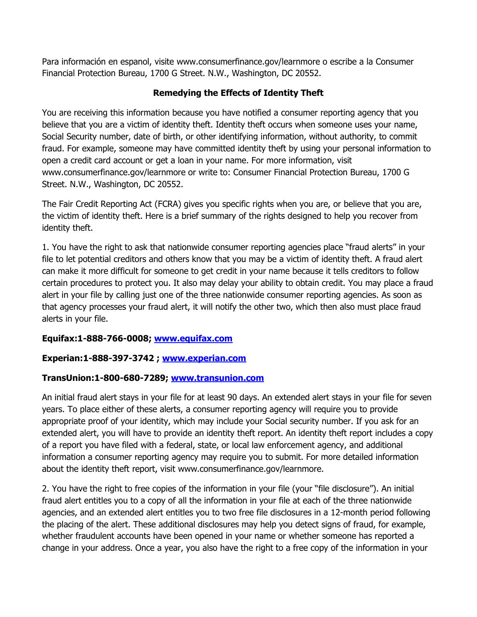Para información en espanol, visite www.consumerfinance.gov/learnmore o escribe a la Consumer Financial Protection Bureau, 1700 G Street. N.W., Washington, DC 20552.

## **Remedying the Effects of Identity Theft**

You are receiving this information because you have notified a consumer reporting agency that you believe that you are a victim of identity theft. Identity theft occurs when someone uses your name, Social Security number, date of birth, or other identifying information, without authority, to commit fraud. For example, someone may have committed identity theft by using your personal information to open a credit card account or get a loan in your name. For more information, visit www.consumerfinance.gov/learnmore or write to: Consumer Financial Protection Bureau, 1700 G Street. N.W., Washington, DC 20552.

The Fair Credit Reporting Act (FCRA) gives you specific rights when you are, or believe that you are, the victim of identity theft. Here is a brief summary of the rights designed to help you recover from identity theft.

1. You have the right to ask that nationwide consumer reporting agencies place "fraud alerts" in your file to let potential creditors and others know that you may be a victim of identity theft. A fraud alert can make it more difficult for someone to get credit in your name because it tells creditors to follow certain procedures to protect you. It also may delay your ability to obtain credit. You may place a fraud alert in your file by calling just one of the three nationwide consumer reporting agencies. As soon as that agency processes your fraud alert, it will notify the other two, which then also must place fraud alerts in your file.

## **Equifax:1-888-766-0008; [www.equifax.com](http://www.equifax.com/)**

## **Experian:1-888-397-3742 ; [www.experian.com](http://www.experian.com/)**

## **TransUnion:1-800-680-7289; [www.transunion.com](http://www.transunion.com/)**

An initial fraud alert stays in your file for at least 90 days. An extended alert stays in your file for seven years. To place either of these alerts, a consumer reporting agency will require you to provide appropriate proof of your identity, which may include your Social security number. If you ask for an extended alert, you will have to provide an identity theft report. An identity theft report includes a copy of a report you have filed with a federal, state, or local law enforcement agency, and additional information a consumer reporting agency may require you to submit. For more detailed information about the identity theft report, visit www.consumerfinance.gov/learnmore.

2. You have the right to free copies of the information in your file (your "file disclosure"). An initial fraud alert entitles you to a copy of all the information in your file at each of the three nationwide agencies, and an extended alert entitles you to two free file disclosures in a 12-month period following the placing of the alert. These additional disclosures may help you detect signs of fraud, for example, whether fraudulent accounts have been opened in your name or whether someone has reported a change in your address. Once a year, you also have the right to a free copy of the information in your